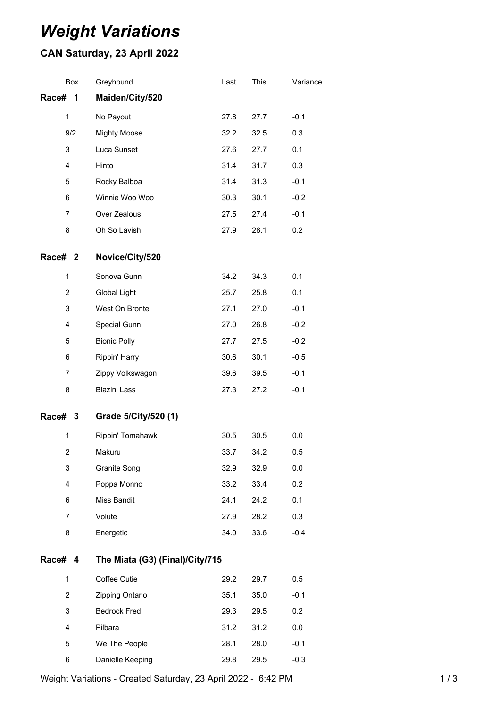## *Weight Variations*

## **CAN Saturday, 23 April 2022**

| Box            |   | Greyhound                       | Last | This | Variance |
|----------------|---|---------------------------------|------|------|----------|
| Race#          | 1 | Maiden/City/520                 |      |      |          |
| $\mathbf{1}$   |   | No Payout                       | 27.8 | 27.7 | $-0.1$   |
| 9/2            |   | <b>Mighty Moose</b>             | 32.2 | 32.5 | 0.3      |
| 3              |   | Luca Sunset                     | 27.6 | 27.7 | 0.1      |
| 4              |   | Hinto                           | 31.4 | 31.7 | 0.3      |
| 5              |   | Rocky Balboa                    | 31.4 | 31.3 | $-0.1$   |
| 6              |   | Winnie Woo Woo                  | 30.3 | 30.1 | $-0.2$   |
| 7              |   | Over Zealous                    | 27.5 | 27.4 | $-0.1$   |
| 8              |   | Oh So Lavish                    | 27.9 | 28.1 | 0.2      |
| Race# 2        |   | Novice/City/520                 |      |      |          |
| $\mathbf{1}$   |   | Sonova Gunn                     | 34.2 | 34.3 | 0.1      |
| 2              |   | <b>Global Light</b>             | 25.7 | 25.8 | 0.1      |
| 3              |   | West On Bronte                  | 27.1 | 27.0 | $-0.1$   |
| 4              |   | Special Gunn                    | 27.0 | 26.8 | $-0.2$   |
| 5              |   | <b>Bionic Polly</b>             | 27.7 | 27.5 | $-0.2$   |
| 6              |   | Rippin' Harry                   | 30.6 | 30.1 | $-0.5$   |
| 7              |   | Zippy Volkswagon                | 39.6 | 39.5 | $-0.1$   |
| 8              |   | Blazin' Lass                    | 27.3 | 27.2 | $-0.1$   |
| Race# 3        |   | Grade 5/City/520 (1)            |      |      |          |
| $\mathbf{1}$   |   | Rippin' Tomahawk                | 30.5 | 30.5 | 0.0      |
| $\overline{2}$ |   | Makuru                          | 33.7 | 34.2 | 0.5      |
| 3              |   | Granite Song                    | 32.9 | 32.9 | 0.0      |
| 4              |   | Poppa Monno                     | 33.2 | 33.4 | 0.2      |
| 6              |   | Miss Bandit                     | 24.1 | 24.2 | 0.1      |
| $\overline{7}$ |   | Volute                          | 27.9 | 28.2 | 0.3      |
| 8              |   | Energetic                       | 34.0 | 33.6 | $-0.4$   |
| Race# 4        |   | The Miata (G3) (Final)/City/715 |      |      |          |
| 1              |   | Coffee Cutie                    | 29.2 | 29.7 | 0.5      |
| $\overline{2}$ |   | Zipping Ontario                 | 35.1 | 35.0 | $-0.1$   |
| 3              |   | <b>Bedrock Fred</b>             | 29.3 | 29.5 | 0.2      |
| 4              |   | Pilbara                         | 31.2 | 31.2 | $0.0\,$  |
| 5              |   | We The People                   | 28.1 | 28.0 | $-0.1$   |
| 6              |   | Danielle Keeping                | 29.8 | 29.5 | $-0.3$   |

Weight Variations - Created Saturday, 23 April 2022 - 6:42 PM 1 / 3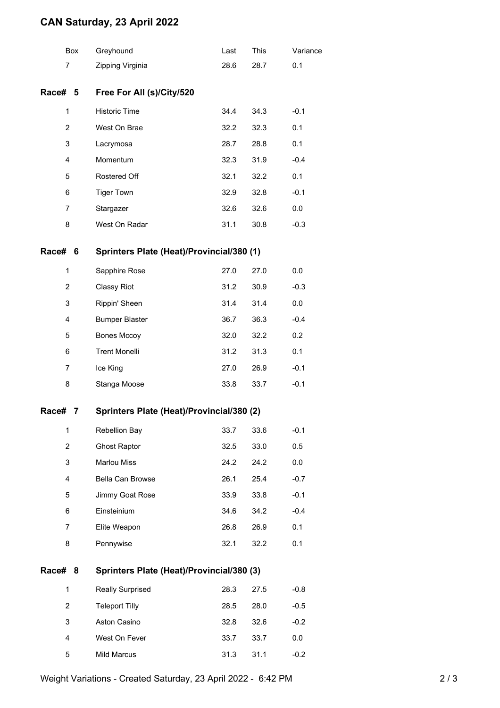## **CAN Saturday, 23 April 2022**

|                | Box                                            | Greyhound                                 | Last | This | Variance |  |  |
|----------------|------------------------------------------------|-------------------------------------------|------|------|----------|--|--|
| $\overline{7}$ |                                                | Zipping Virginia                          | 28.6 | 28.7 | 0.1      |  |  |
| Race# 5        |                                                | Free For All (s)/City/520                 |      |      |          |  |  |
| 1              |                                                | <b>Historic Time</b>                      | 34.4 | 34.3 | $-0.1$   |  |  |
| $\overline{2}$ |                                                | West On Brae                              | 32.2 | 32.3 | 0.1      |  |  |
| 3              |                                                | Lacrymosa                                 | 28.7 | 28.8 | 0.1      |  |  |
| 4              |                                                | Momentum                                  | 32.3 | 31.9 | $-0.4$   |  |  |
| 5              |                                                | Rostered Off                              | 32.1 | 32.2 | 0.1      |  |  |
| 6              |                                                | <b>Tiger Town</b>                         | 32.9 | 32.8 | $-0.1$   |  |  |
| 7              |                                                | Stargazer                                 | 32.6 | 32.6 | 0.0      |  |  |
| 8              |                                                | West On Radar                             | 31.1 | 30.8 | $-0.3$   |  |  |
| Race#          | Sprinters Plate (Heat)/Provincial/380 (1)<br>6 |                                           |      |      |          |  |  |
| 1              |                                                | Sapphire Rose                             | 27.0 | 27.0 | 0.0      |  |  |
| $\overline{2}$ |                                                | Classy Riot                               | 31.2 | 30.9 | $-0.3$   |  |  |
| 3              |                                                | Rippin' Sheen                             | 31.4 | 31.4 | 0.0      |  |  |
| 4              |                                                | <b>Bumper Blaster</b>                     | 36.7 | 36.3 | $-0.4$   |  |  |
| 5              |                                                | <b>Bones Mccoy</b>                        | 32.0 | 32.2 | 0.2      |  |  |
| 6              |                                                | <b>Trent Monelli</b>                      | 31.2 | 31.3 | 0.1      |  |  |
| 7              |                                                | Ice King                                  | 27.0 | 26.9 | $-0.1$   |  |  |
| 8              |                                                | Stanga Moose                              | 33.8 | 33.7 | $-0.1$   |  |  |
| Race#          | Sprinters Plate (Heat)/Provincial/380 (2)<br>7 |                                           |      |      |          |  |  |
| 1              |                                                | Rebellion Bay                             | 33.7 | 33.6 | $-0.1$   |  |  |
| 2              |                                                | <b>Ghost Raptor</b>                       | 32.5 | 33.0 | 0.5      |  |  |
| 3              |                                                | Marlou Miss                               | 24.2 | 24.2 | 0.0      |  |  |
| 4              |                                                | Bella Can Browse                          | 26.1 | 25.4 | $-0.7$   |  |  |
| 5              |                                                | Jimmy Goat Rose                           | 33.9 | 33.8 | $-0.1$   |  |  |
| 6              |                                                | Einsteinium                               | 34.6 | 34.2 | $-0.4$   |  |  |
| 7              |                                                | Elite Weapon                              | 26.8 | 26.9 | 0.1      |  |  |
| 8              |                                                | Pennywise                                 | 32.1 | 32.2 | 0.1      |  |  |
| Race# 8        |                                                | Sprinters Plate (Heat)/Provincial/380 (3) |      |      |          |  |  |
| $\mathbf 1$    |                                                | <b>Really Surprised</b>                   | 28.3 | 27.5 | $-0.8$   |  |  |
| 2              |                                                | <b>Teleport Tilly</b>                     | 28.5 | 28.0 | $-0.5$   |  |  |
| 3              |                                                | Aston Casino                              | 32.8 | 32.6 | $-0.2$   |  |  |
| 4              |                                                | West On Fever                             | 33.7 | 33.7 | 0.0      |  |  |
| 5              |                                                | Mild Marcus                               | 31.3 | 31.1 | $-0.2$   |  |  |